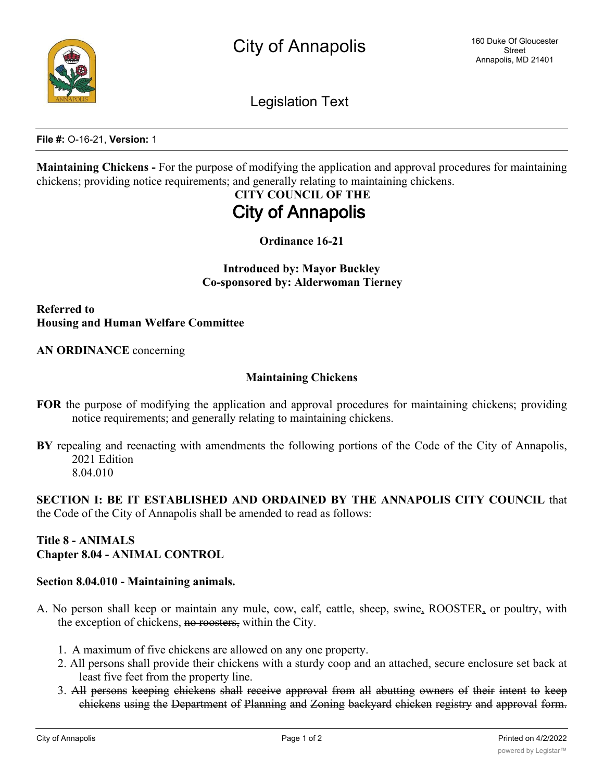Legislation Text

**File #:** O-16-21, **Version:** 1

**Maintaining Chickens -** For the purpose of modifying the application and approval procedures for maintaining chickens; providing notice requirements; and generally relating to maintaining chickens.

# **CITY COUNCIL OF THE City of Annapolis**

**Ordinance 16-21**

**Introduced by: Mayor Buckley Co-sponsored by: Alderwoman Tierney**

**Referred to Housing and Human Welfare Committee**

**AN ORDINANCE** concerning

#### **Maintaining Chickens**

- **FOR** the purpose of modifying the application and approval procedures for maintaining chickens; providing notice requirements; and generally relating to maintaining chickens.
- **BY** repealing and reenacting with amendments the following portions of the Code of the City of Annapolis, 2021 Edition 8.04.010

**SECTION I: BE IT ESTABLISHED AND ORDAINED BY THE ANNAPOLIS CITY COUNCIL** that the Code of the City of Annapolis shall be amended to read as follows:

# **Title 8 - ANIMALS Chapter 8.04 - ANIMAL CONTROL**

### **Section 8.04.010 - Maintaining animals.**

- A. No person shall keep or maintain any mule, cow, calf, cattle, sheep, swine, ROOSTER, or poultry, with the exception of chickens, no roosters, within the City.
	- 1. A maximum of five chickens are allowed on any one property.
	- 2. All persons shall provide their chickens with a sturdy coop and an attached, secure enclosure set back at least five feet from the property line.
	- 3. All persons keeping chickens shall receive approval from all abutting owners of their intent to keep chickens using the Department of Planning and Zoning backyard chicken registry and approval form.